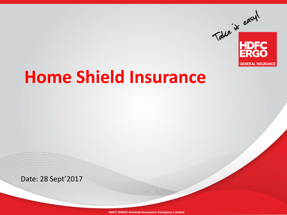

# **Home Shield Insurance**

Date: 28 Sept'2017

**HDFC ERGO General Insurance Company Limited**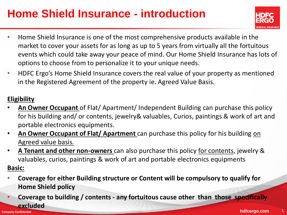### **Home Shield Insurance - introduction**



- Home Shield Insurance is one of the most comprehensive products available in the market to cover your assets for as long as up to 5 years from virtually all the fortuitous events which could take away your peace of mind. Our Home Shield Insurance has lots of options to choose from to personalize it to your unique needs.
- HDFC Ergo's Home Shield Insurance covers the real value of your property as mentioned in the Registered Agreement of the property ie. Agreed Value Basis.

#### **Eligibility**

- **An Owner Occupant** of Flat/ Apartment/ Independent Building can purchase this policy for his building and/ or contents, jewelry& valuables, Curios, paintings & work of art and portable electronics equipments.
- **An Owner Occupant of Flat/ Apartment** can purchase this policy for his building on Agreed value basis.
- **A Tenant and other non-owners** can also purchase this policy for contents, jewelry & valuables, curios, paintings & work of art and portable electronics equipments **Basic:**
- **Coverage for either Building structure or Content will be compulsory to qualify for Home Shield policy**
- **Company Confidential <b>hdfcergo.com** 1 • **Coverage to building / contents - any fortuitous cause other than those specifically excluded**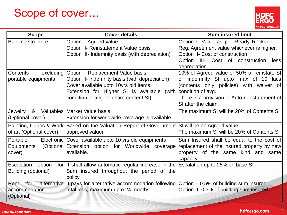#### Scope of cover…



| <b>Scope</b>                              | <b>Cover details</b>                                                  | <b>Sum insured limit</b>                                                              |
|-------------------------------------------|-----------------------------------------------------------------------|---------------------------------------------------------------------------------------|
| <b>Building structure</b>                 | Option I- Agreed value<br>Option II- Reinstatement Value basis        | Option I- Value as per Ready Reckoner or<br>Reg. Agreement value whichever is higher. |
|                                           | Option III- Indemnity basis (with depreciation)                       | Option II- Cost of construction                                                       |
|                                           |                                                                       | Option III- Cost of construction<br>less<br>depreciation                              |
| Contents<br>excluding                     | Option I- Replacement Value basis                                     | 10% of Agreed value or 50% of reinstate SI                                            |
| portable equipments                       | Option II- Indemnity basis (with depreciation)                        | or indemnity SI upto max of 10 lacs                                                   |
|                                           | Cover available upto 10yrs old items.                                 | (contents only policies) with waiver of                                               |
|                                           | Extension for Higher SI is available (with                            | condition of avg.                                                                     |
|                                           | condition of avg for entire content SI)                               | There is a provision of Auto-reinstatement of                                         |
|                                           |                                                                       | SI after the claim.                                                                   |
| Jewelry & Valuables   Market Value basis. |                                                                       | The maximum SI will be 20% of Contents SI                                             |
| (Optional cover)                          | Extension for worldwide coverage is available                         |                                                                                       |
|                                           | Painting, Curios & Work   Based on the Valuation Report of Government | SI will be on Agreed value                                                            |
| of art (Optional cover)                   | approved valuer                                                       | The maximum SI will be 20% of Contents SI                                             |
| Portable                                  | Electronic Cover available upto 10 yrs old equipments                 | Sum Insured shall be equal to the cost of                                             |
| Equipments                                | (Optional Extension option for Worldwide coverage                     | replacement of the insured property by new                                            |
| cover)                                    | available.                                                            | property of the same kind and same<br>capacity.                                       |
| Escalation<br>option                      | for It shall allow automatic regular increase in the                  | Escalation up to 25% on base SI                                                       |
| Building (optional)                       | Sum insured throughout the period of the                              |                                                                                       |
|                                           | policy.                                                               |                                                                                       |
| $Ren+$<br>for                             | alternative It pays for alternative accommodation following           | Option I-0.5% of building sum insured                                                 |
| accommodation                             | total loss, maximum upto 24 months.                                   | Option II- 0.3% of building sum insured                                               |
| (Optional)                                |                                                                       |                                                                                       |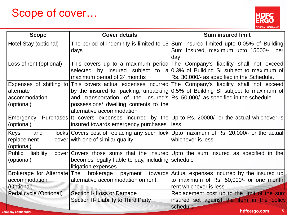#### Scope of cover…



| <b>Scope</b>                                                        | <b>Cover details</b>                                                                                              | <b>Sum insured limit</b>                                                                                                                                                                                                                                                                                                                                                                          |
|---------------------------------------------------------------------|-------------------------------------------------------------------------------------------------------------------|---------------------------------------------------------------------------------------------------------------------------------------------------------------------------------------------------------------------------------------------------------------------------------------------------------------------------------------------------------------------------------------------------|
| Hotel Stay (optional)                                               | days                                                                                                              | The period of indemnity is limited to 15 Sum insured limited upto 0.05% of Building<br>Sum Insured, maximum upto 15000/-<br>per<br>day                                                                                                                                                                                                                                                            |
| Loss of rent (optional)                                             | maximum period of 24 months                                                                                       | This covers up to a maximum period The Company's liability shall not exceed<br>selected by insured subject to $a 0.3\%$ of Building SI subject to maximum of<br>Rs. 30,000/- as specified in the Schedule.                                                                                                                                                                                        |
| alternate<br>accommodation<br>(optional)<br>Emergency<br>(optional) | possessions/ dwelling contents to the<br>alternative accommodation<br>insured towards emergency purchases   less. | Expenses of shifting to This covers actual expenses incurred The Company's liability shall not exceed<br>by the insured for packing, unpacking 0.5% of Building SI subject to maximum of<br>and transportation of the insured's $\left  \text{Rs. } 50,000 \right $ as specified in the schedule<br>Purchases   It covers expenses incurred by the   Up to Rs. 20000/- or the actual whichever is |
| Keys<br>and<br>replacement<br>(optional)                            | cover with one of similar quality                                                                                 | locks   Covers cost of replacing any such lock   Upto maximum of Rs. 20,000/- or the actual<br>whichever is less                                                                                                                                                                                                                                                                                  |
| liability<br>Public<br>(optional)                                   | becomes legally liable to pay, including schedule<br>litigation expenses                                          | $\frac{1}{2}$ cover Covers those sums that the insured Upto the sum insured as specified in the                                                                                                                                                                                                                                                                                                   |
| Brokerage for Alternate The<br>accommodation<br>(Optional)          | alternative accommodation on rent.                                                                                | brokerage payment towards Actual expenses incurred by the insured up<br>to maximum of Rs. 50,000/- or one month<br>rent whichever is less                                                                                                                                                                                                                                                         |
| Pedal cycle (Optional)                                              | Section I- Loss or Damage<br>Section II- Liability to Third Party                                                 | Replacement cost up to the limit of the sum<br>insured set against the item in the policy<br>schedule.                                                                                                                                                                                                                                                                                            |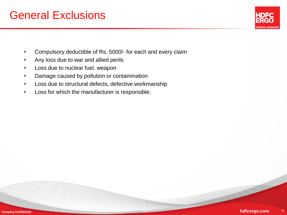#### General Exclusions



- Compulsory deductible of Rs. 5000/- for each and every claim
- Any loss due to war and allied perils
- Loss due to nuclear fuel, weapon
- Damage caused by pollution or contamination
- Loss due to structural defects, defective workmanship
- Loss for which the manufacturer is responsible.